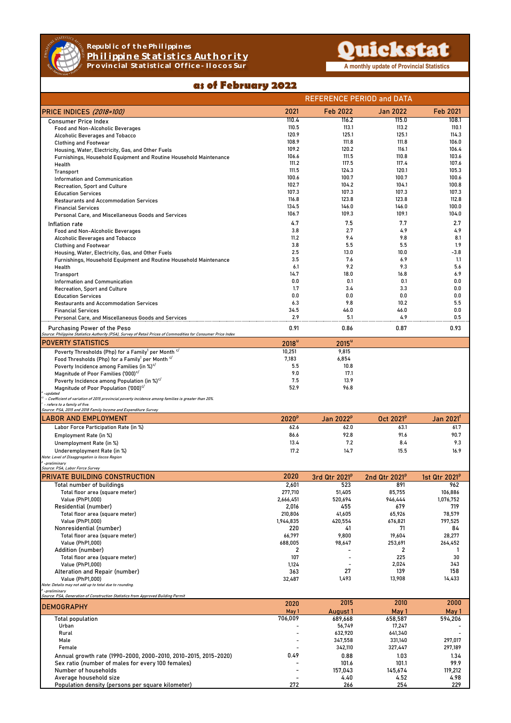

## **Republic of the Philippines Philippine Statistics Authority Provincial Statistical Office - Ilocos Sur A monthly update of Provincial Statistics**

## Quickstat

## as of February 2022

|                                                                                                                                                |                   | <b>REFERENCE PERIOD and DATA</b> |                           |                           |  |
|------------------------------------------------------------------------------------------------------------------------------------------------|-------------------|----------------------------------|---------------------------|---------------------------|--|
| <b>PRICE INDICES (2018=100)</b>                                                                                                                | 2021              | Feb 2022                         | Jan 2022                  | Feb 2021                  |  |
| <b>Consumer Price Index</b>                                                                                                                    | 110.4             | 116.2                            | 115.0                     | 108.1                     |  |
| Food and Non-Alcoholic Beverages                                                                                                               | 110.5             | 113.1                            | 113.2                     | 110.1                     |  |
| Alcoholic Beverages and Tobacco                                                                                                                | 120.9             | 125.1                            | 125.1                     | 114.3                     |  |
| <b>Clothing and Footwear</b>                                                                                                                   | 108.9             | 111.8                            | 111.8                     | 106.0                     |  |
| Housing, Water, Electricity, Gas, and Other Fuels                                                                                              | 109.2             | 120.2                            | 116.1                     | 106.4                     |  |
| Furnishings, Household Equipment and Routine Household Maintenance                                                                             | 106.6<br>111.2    | 111.5<br>117.5                   | 110.8<br>117.4            | 103.6<br>107.6            |  |
| Health                                                                                                                                         | 111.5             | 124.3                            | 120.1                     | 105.3                     |  |
| <b>Transport</b><br>Information and Communication                                                                                              | 100.6             | 100.7                            | 100.7                     | 100.6                     |  |
| Recreation, Sport and Culture                                                                                                                  | 102.7             | 104.2                            | 104.1                     | 100.8                     |  |
| <b>Education Services</b>                                                                                                                      | 107.3             | 107.3                            | 107.3                     | 107.3                     |  |
| <b>Restaurants and Accommodation Services</b>                                                                                                  | 116.8             | 123.8                            | 123.8                     | 112.8                     |  |
| <b>Financial Services</b>                                                                                                                      | 134.5             | 146.0                            | 146.0                     | 100.0                     |  |
| Personal Care, and Miscellaneous Goods and Services                                                                                            | 106.7             | 109.3                            | 109.1                     | 104.0                     |  |
| Inflation rate                                                                                                                                 | 4.7               | 7.5                              | 7.7                       | 2.7                       |  |
| <b>Food and Non-Alcoholic Beverages</b>                                                                                                        | 3.8               | 2.7                              | 4.9                       | 4.9                       |  |
| Alcoholic Beverages and Tobacco                                                                                                                | 11.2              | 9.4                              | 9.8                       | 8.1                       |  |
| <b>Clothing and Footwear</b>                                                                                                                   | 3.8               | 5.5                              | 5.5                       | 1.9                       |  |
| Housing, Water, Electricity, Gas, and Other Fuels                                                                                              | 2.5               | 13.0                             | 10.0                      | $-3.8$                    |  |
| Furnishings, Household Equipment and Routine Household Maintenance                                                                             | 3.5               | 7.6                              | 6.9                       | 1.1                       |  |
| Health                                                                                                                                         | 6.1               | 9.2                              | 9.3                       | 5.6                       |  |
| <b>Transport</b>                                                                                                                               | 14.7              | 18.0                             | 16.8                      | 6.9                       |  |
| Information and Communication                                                                                                                  | 0.0               | 0.1                              | 0.1                       | 0.0                       |  |
| Recreation, Sport and Culture                                                                                                                  | 1.7               | 3.4                              | 3.3                       | 0.0                       |  |
| <b>Education Services</b>                                                                                                                      | 0.0               | 0.0                              | 0.0                       | 0.0                       |  |
| <b>Restaurants and Accommodation Services</b>                                                                                                  | 6.3               | 9.8                              | 10.2                      | 5.5                       |  |
| <b>Financial Services</b>                                                                                                                      | 34.5              | 46.0                             | 46.0                      | 0.0                       |  |
| Personal Care, and Miscellaneous Goods and Services                                                                                            | 2.9               | 5.1                              | 4.9                       | 0.5                       |  |
| Purchasing Power of the Peso<br>Source: Philippine Statistics Authority (PSA), Survey of Retail Prices of Commodities for Consumer Price Index | 0.91              | 0.86                             | 0.87                      | 0.93                      |  |
| <b>POVERTY STATISTICS</b>                                                                                                                      | 2018 <sup>u</sup> | $2015^u$                         |                           |                           |  |
| Poverty Thresholds (Php) for a Family <sup>1</sup> per Month <sup>c/</sup>                                                                     | 10,251            | 9,815                            |                           |                           |  |
| Food Thresholds (Php) for a Family <sup>1</sup> per Month <sup>c/</sup>                                                                        | 7,183             | 6,854                            |                           |                           |  |
| Poverty Incidence among Families (in %) <sup>c/</sup>                                                                                          | 5.5               | 10.8                             |                           |                           |  |
| Magnitude of Poor Families ('000) <sup>c/</sup>                                                                                                | 9.0               | 17.1                             |                           |                           |  |
| Poverty Incidence among Population (in %) <sup>c/</sup>                                                                                        | 7.5               | 13.9                             |                           |                           |  |
| Magnitude of Poor Population ('000) <sup>c/</sup><br>-updated                                                                                  | 52.9              | 96.8                             |                           |                           |  |
| $\sim$ - Coefficient of variation of 2015 provincial poverty incidence among families is greater than 20%.                                     |                   |                                  |                           |                           |  |
| - refers to a family of five.<br>Source: PSA, 2015 and 2018 Family Income and Expenditure Survey                                               |                   |                                  |                           |                           |  |
| LABOR AND EMPLOYMENT                                                                                                                           | 2020 <sup>p</sup> | Jan 2022 <sup>p</sup>            | Oct 2021 <sup>p</sup>     | Jan 2021'                 |  |
| Labor Force Participation Rate (in %)                                                                                                          | 62.6              | 62.0                             | 63.1                      | 61.7                      |  |
| Employment Rate (in %)                                                                                                                         | 86.6              | 92.8                             | 91.6                      | 90.7                      |  |
| Unemployment Rate (in %)                                                                                                                       | 13.4              | 7.2                              | 8.4                       | 9.3                       |  |
| Underemployment Rate (in %)                                                                                                                    | 17.2              | 14.7                             | 15.5                      | 16.9                      |  |
| Note: Level of Disaggregation is Ilocos Region                                                                                                 |                   |                                  |                           |                           |  |
| <sup>o</sup> -preliminary<br>Source: PSA, Labor Force Survey                                                                                   |                   |                                  |                           |                           |  |
| PRIVATE BUILDING CONSTRUCTION                                                                                                                  | 2020              | 3rd Qtr 2021 <sup>p</sup>        | 2nd Qtr 2021 <sup>p</sup> | 1st Qtr 2021 <sup>p</sup> |  |
| Total number of buildings                                                                                                                      | 2,601             | 523                              | 891                       | 962                       |  |
| Total floor area (square meter)                                                                                                                | 277,710           | 51,405                           | 85,755                    | 106,886                   |  |
| Value (PhP1,000)                                                                                                                               | 2,666,451         | 520,694                          | 946,444                   | 1,076,752                 |  |
| Residential (number)                                                                                                                           | 2,016             | 455                              | 679                       | 719                       |  |
| Total floor area (square meter)                                                                                                                | 210,806           | 41,605                           | 65,926                    | 78,579                    |  |
| Value (PhP1,000)                                                                                                                               | 1,944,835         | 420,554                          | 676,821                   | 797,525                   |  |
| Nonresidential (number)                                                                                                                        | 220               | 41                               | 71                        | 84                        |  |
| Total floor area (square meter)<br>Value (PhP1,000)                                                                                            | 66,797<br>688,005 | 9,800<br>98,647                  | 19,604<br>253,691         | 28,277<br>264,452         |  |
| Addition (number)                                                                                                                              | 2                 |                                  | 2                         | 1                         |  |
| Total floor area (square meter)                                                                                                                | 107               |                                  | 225                       | 30                        |  |
| Value (PhP1,000)                                                                                                                               | 1,124             |                                  | 2,024                     | 343                       |  |
| Alteration and Repair (number)                                                                                                                 | 363               | 27                               | 139                       | 158                       |  |
| Value (PhP1,000)                                                                                                                               | 32,487            | 1,493                            | 13,908                    | 14,433                    |  |
| Note: Details may not add up to total due to rounding.                                                                                         |                   |                                  |                           |                           |  |
| -preliminary<br>Source: PSA, Generation of Construction Statistics from Approved Building Permit                                               |                   |                                  |                           |                           |  |
| <b>DEMOGRAPHY</b>                                                                                                                              | 2020<br>May 1     | 2015<br>August 1                 | 2010<br>May 1             | 2000<br>May 1             |  |
| Total population                                                                                                                               | 706,009           | 689,668                          | 658,587                   | 594,206                   |  |
| Urban                                                                                                                                          |                   | 56,749                           | 17,247                    |                           |  |
| Rural                                                                                                                                          |                   | 632,920                          | 641,340                   |                           |  |
| Male                                                                                                                                           |                   | 347,558                          | 331,140                   | 297,017                   |  |
| Female                                                                                                                                         |                   | 342,110                          | 327,447                   | 297,189                   |  |
| Annual growth rate (1990-2000, 2000-2010, 2010-2015, 2015-2020)                                                                                | 0.49              | 0.88                             | 1.03                      | 1.34                      |  |
| Sex ratio (number of males for every 100 females)                                                                                              |                   | 101.6                            | 101.1                     | 99.9                      |  |
| Number of households                                                                                                                           |                   | 157,043                          | 145,674                   | 119,212                   |  |
| Average household size                                                                                                                         |                   | 4.40                             | 4.52                      | 4.98                      |  |
| Population density (persons per square kilometer)                                                                                              | 272               | 266                              | 254                       | 229                       |  |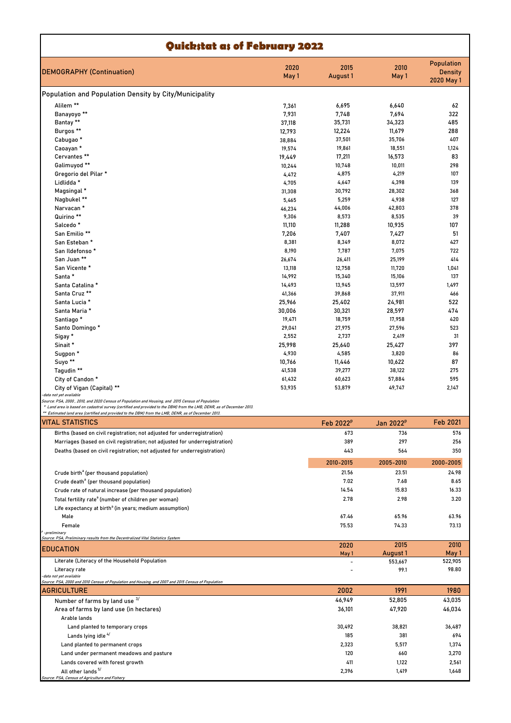| Quickstat as of February 2022                                                                                                 |               |                       |                       |                                                   |  |  |
|-------------------------------------------------------------------------------------------------------------------------------|---------------|-----------------------|-----------------------|---------------------------------------------------|--|--|
| <b>DEMOGRAPHY (Continuation)</b>                                                                                              | 2020<br>May 1 | 2015<br>August 1      | 2010<br>May 1         | <b>Population</b><br><b>Density</b><br>2020 May 1 |  |  |
| Population and Population Density by City/Municipality                                                                        |               |                       |                       |                                                   |  |  |
| Alilem **                                                                                                                     | 7,361         | 6,695                 | 6,640                 | 62                                                |  |  |
| Banayoyo <sup>**</sup>                                                                                                        | 7,931         | 7,748                 | 7,694                 | 322                                               |  |  |
| Bantay **                                                                                                                     | 37,118        | 35,731                | 34,323                | 485                                               |  |  |
| Burgos <sup>**</sup>                                                                                                          | 12,793        | 12,224                | 11,679                | 288                                               |  |  |
| Cabugao <sup>*</sup>                                                                                                          | 38,884        | 37,501                | 35,706                | 407                                               |  |  |
| Caoayan *                                                                                                                     | 19,574        | 19,861                | 18,551                | 1,124                                             |  |  |
| Cervantes **                                                                                                                  | 19,449        | 17,211                | 16,573                | 83                                                |  |  |
| Galimuyod **                                                                                                                  | 10,244        | 10,748                | 10,011                | 298                                               |  |  |
| Gregorio del Pilar *                                                                                                          | 4,472         | 4,875                 | 4,219                 | 107                                               |  |  |
| Lidlidda *                                                                                                                    | 4,705         | 4,647                 | 4,398                 | 139                                               |  |  |
| Magsingal *                                                                                                                   | 31,308        | 30,792                | 28,302                | 368                                               |  |  |
| Nagbukel **                                                                                                                   | 5,465         | 5,259                 | 4,938                 | 127                                               |  |  |
| Narvacan *                                                                                                                    | 46,234        | 44,006                | 42,803                | 378                                               |  |  |
| Quirino **                                                                                                                    | 9,306         | 8,573                 | 8,535                 | 39                                                |  |  |
| Salcedo <sup>*</sup>                                                                                                          | 11,110        | 11,288                | 10,935                | 107                                               |  |  |
| San Emilio **                                                                                                                 | 7,206         | 7,407                 | 7,427                 | 51                                                |  |  |
| San Esteban *                                                                                                                 | 8,381         | 8,349                 | 8,072                 | 427                                               |  |  |
| San Ildefonso*                                                                                                                | 8,190         | 7,787                 | 7,075                 | 722                                               |  |  |
| San Juan **                                                                                                                   | 26,674        | 26,411                | 25,199                | 414                                               |  |  |
| San Vicente *                                                                                                                 | 13,118        | 12,758                | 11,720                | 1,041                                             |  |  |
| Santa *                                                                                                                       | 14,992        | 15,340                | 15,106                | 137                                               |  |  |
| Santa Catalina *                                                                                                              | 14,493        | 13,945                | 13,597                | 1,497                                             |  |  |
| Santa Cruz **                                                                                                                 | 41,366        | 39,868                | 37,911                | 466                                               |  |  |
| Santa Lucia *                                                                                                                 | 25,966        | 25,402                | 24,981                | 522                                               |  |  |
| Santa Maria *                                                                                                                 | 30,006        | 30,321                | 28,597                | 474                                               |  |  |
| Santiago*                                                                                                                     | 19,471        | 18,759                | 17,958                | 420                                               |  |  |
| Santo Domingo *                                                                                                               | 29,041        | 27,975                | 27,596                | 523                                               |  |  |
| Sigay *                                                                                                                       | 2,552         | 2,737                 | 2,419                 | 31                                                |  |  |
| Sinait *                                                                                                                      | 25,998        | 25,640                | 25,427                | 397                                               |  |  |
| Sugpon *                                                                                                                      | 4,930         | 4,585                 | 3,820                 | 86                                                |  |  |
| Suyo <sup>**</sup>                                                                                                            | 10,766        | 11,446                | 10,622                | 87                                                |  |  |
| Tagudin **                                                                                                                    | 41,538        | 39,277                | 38,122                | 275                                               |  |  |
| City of Candon *                                                                                                              | 61,432        | 60,623                | 57,884                | 595                                               |  |  |
| City of Vigan (Capital) **                                                                                                    | 53,935        | 53,879                | 49,747                | 2,147                                             |  |  |
| data not yet available<br>Source: PSA, 2000 , 2010, and 2020 Census of Population and Housing, and 2015 Census of Population  |               |                       |                       |                                                   |  |  |
| * Land area is based on cadastral survey (certified and provided to the DBM) from the LMB, DENR, as of December 2013.         |               |                       |                       |                                                   |  |  |
| ** Estimated land area (certified and provided to the DBM) from the LMB, DENR, as of December 2013.                           |               |                       |                       |                                                   |  |  |
| <b>VITAL STATISTICS</b>                                                                                                       |               | Feb 2022 <sup>p</sup> | Jan 2022 <sup>p</sup> | Feb 2021                                          |  |  |
| Births (based on civil registration; not adjusted for underregistration)                                                      |               | 673                   | 736                   | 576                                               |  |  |
| Marriages (based on civil registration; not adjusted for underregistration)                                                   |               | 389                   | 297                   | 256                                               |  |  |
| Deaths (based on civil registration; not adjusted for underregistration)                                                      |               | 443                   | 564                   | 350                                               |  |  |
|                                                                                                                               |               | 2010-2015             | 2005-2010             | 2000-2005                                         |  |  |
| Crude birth <sup>a</sup> (per thousand population)                                                                            |               | 21.56                 | 23.51                 | 24.98                                             |  |  |
| Crude death <sup>ª</sup> (per thousand population)                                                                            |               | 7.02                  | 7.68                  | 8.65                                              |  |  |
| Crude rate of natural increase (per thousand population)                                                                      |               | 14.54                 | 15.83                 | 16.33                                             |  |  |
| Total fertility rate <sup>a</sup> (number of children per woman)                                                              |               | 2.78                  | 2.98                  | 3.20                                              |  |  |
| Life expectancy at birth <sup>a</sup> (in years; medium assumption)                                                           |               |                       |                       |                                                   |  |  |
| Male                                                                                                                          |               | 67.46                 | 65.96                 | 63.96                                             |  |  |
| Female                                                                                                                        |               | 75.53                 | 74.33                 | 73.13                                             |  |  |
| -preliminary                                                                                                                  |               |                       |                       |                                                   |  |  |
| Source: PSA, Preliminary results from the Decentralized Vital Statistics System                                               |               |                       |                       |                                                   |  |  |
| <b>EDUCATION</b>                                                                                                              |               | 2020<br>May 1         | 2015<br>August 1      | 2010<br>May 1                                     |  |  |
| Literate (Literacy of the Household Population                                                                                |               |                       | 553,667               | 522,905                                           |  |  |
| Literacy rate                                                                                                                 |               |                       | 99.1                  | 98.80                                             |  |  |
| data not yet available<br>Source: PSA, 2000 and 2010 Census of Population and Housing, and 2007 and 2015 Census of Population |               |                       |                       |                                                   |  |  |
| AGRICULTURE                                                                                                                   |               | 2002                  | 1991                  | 1980                                              |  |  |
| Number of farms by land use 3/                                                                                                |               | 46,949                | 52,805                | 43,035                                            |  |  |
| Area of farms by land use (in hectares)                                                                                       |               | 36,101                | 47,920                | 46,034                                            |  |  |
| Arable lands                                                                                                                  |               |                       |                       |                                                   |  |  |
|                                                                                                                               |               |                       |                       |                                                   |  |  |
| Land planted to temporary crops                                                                                               |               | 30,492                | 38,821                | 36,487                                            |  |  |
| Lands lying idle <sup>4/</sup>                                                                                                |               | 185                   | 381                   | 694                                               |  |  |
| Land planted to permanent crops                                                                                               |               | 2,323                 | 5,517                 | 1,374                                             |  |  |
| Land under permanent meadows and pasture                                                                                      |               | 120                   | 660                   | 3,270                                             |  |  |
| Lands covered with forest growth                                                                                              |               | 411                   | 1,122                 | 2,561                                             |  |  |
| All other lands <sup>5/</sup><br>Source: PSA, Census of Agriculture and Fishery                                               |               | 2,396                 | 1,419                 | 1,648                                             |  |  |